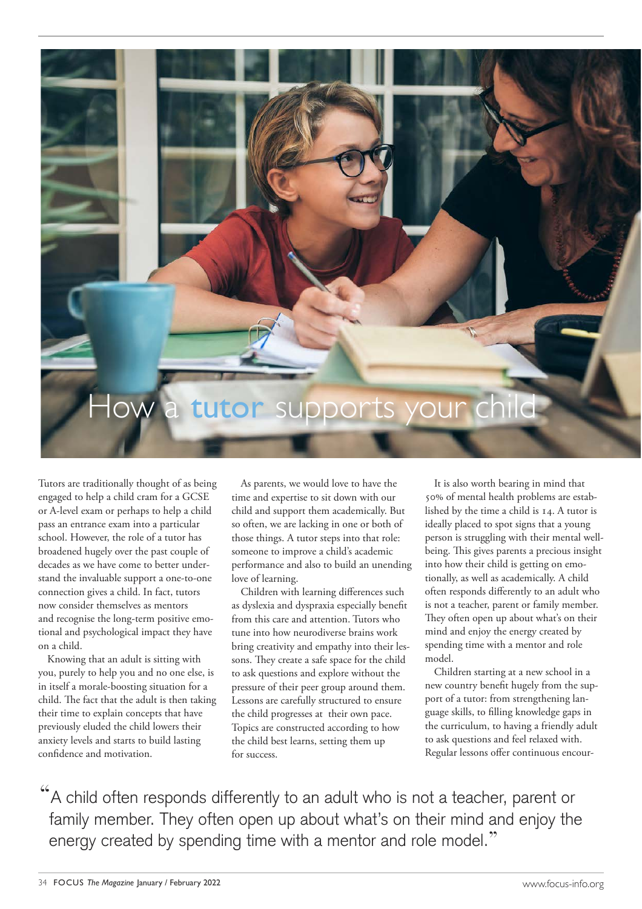

Tutors are traditionally thought of as being engaged to help a child cram for a GCSE or A-level exam or perhaps to help a child pass an entrance exam into a particular school. However, the role of a tutor has broadened hugely over the past couple of decades as we have come to better understand the invaluable support a one-to-one connection gives a child. In fact, tutors now consider themselves as mentors and recognise the long-term positive emotional and psychological impact they have on a child.

Knowing that an adult is sitting with you, purely to help you and no one else, is in itself a morale-boosting situation for a child. The fact that the adult is then taking their time to explain concepts that have previously eluded the child lowers their anxiety levels and starts to build lasting confidence and motivation.

As parents, we would love to have the time and expertise to sit down with our child and support them academically. But so often, we are lacking in one or both of those things. A tutor steps into that role: someone to improve a child's academic performance and also to build an unending love of learning.

Children with learning differences such as dyslexia and dyspraxia especially benefit from this care and attention. Tutors who tune into how neurodiverse brains work bring creativity and empathy into their lessons. They create a safe space for the child to ask questions and explore without the pressure of their peer group around them. Lessons are carefully structured to ensure the child progresses at their own pace. Topics are constructed according to how the child best learns, setting them up for success.

It is also worth bearing in mind that 50% of mental health problems are established by the time a child is 14. A tutor is ideally placed to spot signs that a young person is struggling with their mental wellbeing. This gives parents a precious insight into how their child is getting on emotionally, as well as academically. A child often responds differently to an adult who is not a teacher, parent or family member. They often open up about what's on their mind and enjoy the energy created by spending time with a mentor and role model.

Children starting at a new school in a new country benefit hugely from the support of a tutor: from strengthening language skills, to filling knowledge gaps in the curriculum, to having a friendly adult to ask questions and feel relaxed with. Regular lessons offer continuous encour-

"A child often responds differently to an adult who is not a teacher, parent or family member. They often open up about what's on their mind and enjoy the energy created by spending time with a mentor and role model."